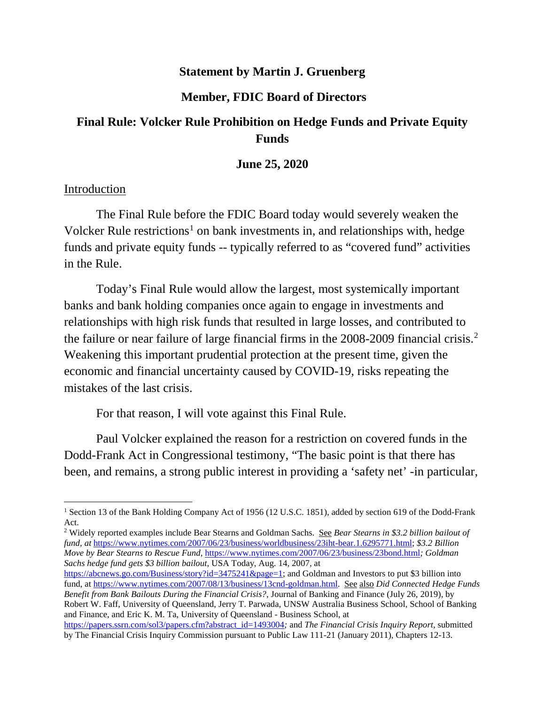## **Statement by Martin J. Gruenberg**

## **Member, FDIC Board of Directors**

# **Final Rule: Volcker Rule Prohibition on Hedge Funds and Private Equity Funds**

#### **June 25, 2020**

#### Introduction

The Final Rule before the FDIC Board today would severely weaken the Volcker Rule restrictions<sup>[1](#page-0-0)</sup> on bank investments in, and relationships with, hedge funds and private equity funds -- typically referred to as "covered fund" activities in the Rule.

Today's Final Rule would allow the largest, most systemically important banks and bank holding companies once again to engage in investments and relationships with high risk funds that resulted in large losses, and contributed to the failure or near failure of large financial firms in the 2008-2009 financial crisis. [2](#page-0-1) Weakening this important prudential protection at the present time, given the economic and financial uncertainty caused by COVID-19, risks repeating the mistakes of the last crisis.

For that reason, I will vote against this Final Rule.

Paul Volcker explained the reason for a restriction on covered funds in the Dodd-Frank Act in Congressional testimony, "The basic point is that there has been, and remains, a strong public interest in providing a 'safety net' -in particular,

[https://abcnews.go.com/Business/story?id=3475241&page=1;](https://abcnews.go.com/Business/story?id=3475241&page=1#_blank) and Goldman and Investors to put \$3 billion into fund, at [https://www.nytimes.com/2007/08/13/business/13cnd-goldman.html.](https://www.nytimes.com/2007/08/13/business/13cnd-goldman.html#_blank) See also *Did Connected Hedge Funds Benefit from Bank Bailouts During the Financial Crisis?,* Journal of Banking and Finance (July 26, 2019), by Robert W. Faff, University of Queensland, Jerry T. Parwada, UNSW Australia Business School, School of Banking and Finance, and Eric K. M. Ta, University of Queensland - Business School, at [https://papers.ssrn.com/sol3/papers.cfm?abstract\\_id=1493004](https://papers.ssrn.com/sol3/papers.cfm?abstract_id=1493004#_blank)*;* and *The Financial Crisis Inquiry Report*, submitted by The Financial Crisis Inquiry Commission pursuant to Public Law 111-21 (January 2011), Chapters 12-13.

<span id="page-0-0"></span><sup>&</sup>lt;sup>1</sup> Section 13 of the Bank Holding Company Act of 1956 (12 U.S.C. 1851), added by section 619 of the Dodd-Frank Act.

<span id="page-0-1"></span><sup>2</sup> Widely reported examples include Bear Stearns and Goldman Sachs. See *Bear Stearns in \$3.2 billion bailout of fund, at* [https://www.nytimes.com/2007/06/23/business/worldbusiness/23iht-bear.1.6295771.html;](https://www.nytimes.com/2007/06/23/business/worldbusiness/23iht-bear.1.6295771.html#_blank) *\$3.2 Billion Move by Bear Stearns to Rescue Fund,* [https://www.nytimes.com/2007/06/23/business/23bond.html](https://www.nytimes.com/2007/06/23/business/23bond.html#_blank)*; Goldman Sachs hedge fund gets \$3 billion bailout,* USA Today, Aug. 14, 2007, at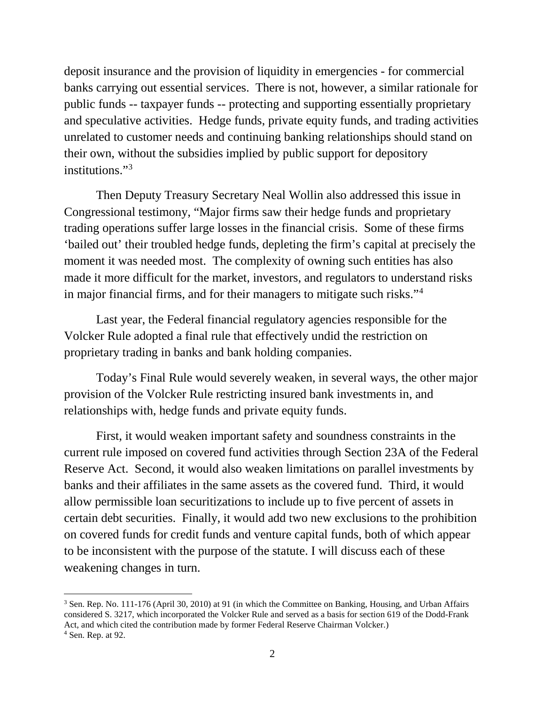deposit insurance and the provision of liquidity in emergencies - for commercial banks carrying out essential services. There is not, however, a similar rationale for public funds -- taxpayer funds -- protecting and supporting essentially proprietary and speculative activities. Hedge funds, private equity funds, and trading activities unrelated to customer needs and continuing banking relationships should stand on their own, without the subsidies implied by public support for depository institutions."<sup>3</sup>

Then Deputy Treasury Secretary Neal Wollin also addressed this issue in Congressional testimony, "Major firms saw their hedge funds and proprietary trading operations suffer large losses in the financial crisis. Some of these firms 'bailed out' their troubled hedge funds, depleting the firm's capital at precisely the moment it was needed most. The complexity of owning such entities has also made it more difficult for the market, investors, and regulators to understand risks in major financial firms, and for their managers to mitigate such risks."<sup>[4](#page-1-1)</sup>

Last year, the Federal financial regulatory agencies responsible for the Volcker Rule adopted a final rule that effectively undid the restriction on proprietary trading in banks and bank holding companies.

Today's Final Rule would severely weaken, in several ways, the other major provision of the Volcker Rule restricting insured bank investments in, and relationships with, hedge funds and private equity funds.

First, it would weaken important safety and soundness constraints in the current rule imposed on covered fund activities through Section 23A of the Federal Reserve Act. Second, it would also weaken limitations on parallel investments by banks and their affiliates in the same assets as the covered fund. Third, it would allow permissible loan securitizations to include up to five percent of assets in certain debt securities. Finally, it would add two new exclusions to the prohibition on covered funds for credit funds and venture capital funds, both of which appear to be inconsistent with the purpose of the statute. I will discuss each of these weakening changes in turn.

<span id="page-1-0"></span><sup>&</sup>lt;sup>3</sup> Sen. Rep. No. 111-176 (April 30, 2010) at 91 (in which the Committee on Banking, Housing, and Urban Affairs considered S. 3217, which incorporated the Volcker Rule and served as a basis for section 619 of the Dodd-Frank Act, and which cited the contribution made by former Federal Reserve Chairman Volcker.)

<span id="page-1-1"></span> $<sup>4</sup>$  Sen. Rep. at 92.</sup>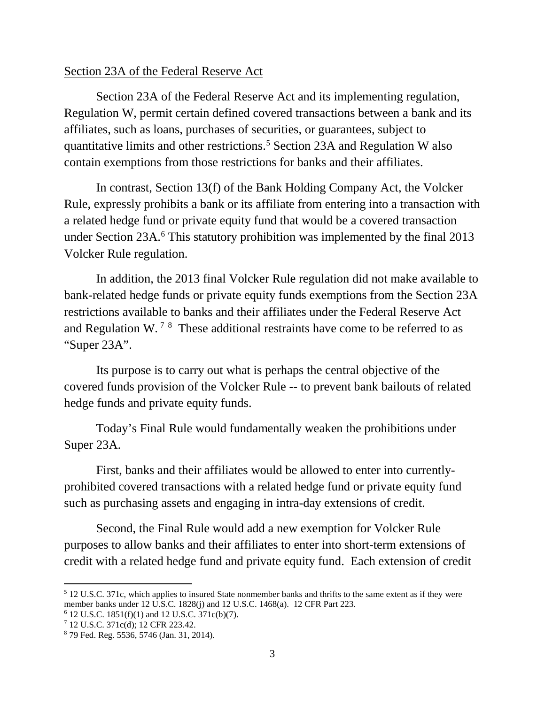### Section 23A of the Federal Reserve Act

Section 23A of the Federal Reserve Act and its implementing regulation, Regulation W, permit certain defined covered transactions between a bank and its affiliates, such as loans, purchases of securities, or guarantees, subject to quantitative limits and other restrictions.[5](#page-2-0) Section 23A and Regulation W also contain exemptions from those restrictions for banks and their affiliates.

In contrast, Section 13(f) of the Bank Holding Company Act, the Volcker Rule, expressly prohibits a bank or its affiliate from entering into a transaction with a related hedge fund or private equity fund that would be a covered transaction under Section 23A.<sup>[6](#page-2-1)</sup> This statutory prohibition was implemented by the final 2013 Volcker Rule regulation.

In addition, the 2013 final Volcker Rule regulation did not make available to bank-related hedge funds or private equity funds exemptions from the Section 23A restrictions available to banks and their affiliates under the Federal Reserve Act and Regulation W.<sup>[7](#page-2-2)[8](#page-2-3)</sup> These additional restraints have come to be referred to as "Super 23A".

Its purpose is to carry out what is perhaps the central objective of the covered funds provision of the Volcker Rule -- to prevent bank bailouts of related hedge funds and private equity funds.

Today's Final Rule would fundamentally weaken the prohibitions under Super 23A.

First, banks and their affiliates would be allowed to enter into currentlyprohibited covered transactions with a related hedge fund or private equity fund such as purchasing assets and engaging in intra-day extensions of credit.

Second, the Final Rule would add a new exemption for Volcker Rule purposes to allow banks and their affiliates to enter into short-term extensions of credit with a related hedge fund and private equity fund. Each extension of credit

<span id="page-2-0"></span> <sup>5</sup> 12 U.S.C. 371c, which applies to insured State nonmember banks and thrifts to the same extent as if they were member banks under 12 U.S.C. 1828(j) and 12 U.S.C. 1468(a). 12 CFR Part 223.

<span id="page-2-1"></span> $6$  12 U.S.C. 1851(f)(1) and 12 U.S.C. 371c(b)(7).

<span id="page-2-2"></span><sup>7</sup> 12 U.S.C. 371c(d); 12 CFR 223.42.

<span id="page-2-3"></span><sup>8</sup> 79 Fed. Reg. 5536, 5746 (Jan. 31, 2014).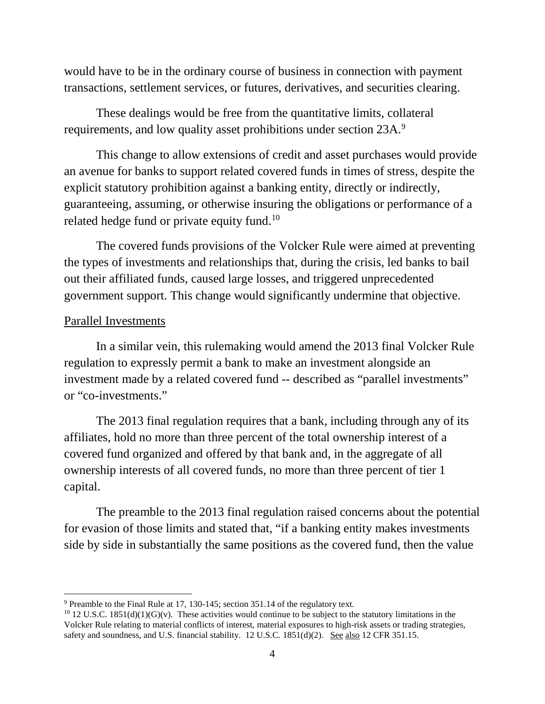would have to be in the ordinary course of business in connection with payment transactions, settlement services, or futures, derivatives, and securities clearing.

These dealings would be free from the quantitative limits, collateral requirements, and low quality asset prohibitions under section 23A.<sup>[9](#page-3-0)</sup>

This change to allow extensions of credit and asset purchases would provide an avenue for banks to support related covered funds in times of stress, despite the explicit statutory prohibition against a banking entity, directly or indirectly, guaranteeing, assuming, or otherwise insuring the obligations or performance of a related hedge fund or private equity fund.<sup>10</sup>

The covered funds provisions of the Volcker Rule were aimed at preventing the types of investments and relationships that, during the crisis, led banks to bail out their affiliated funds, caused large losses, and triggered unprecedented government support. This change would significantly undermine that objective.

#### Parallel Investments

In a similar vein, this rulemaking would amend the 2013 final Volcker Rule regulation to expressly permit a bank to make an investment alongside an investment made by a related covered fund -- described as "parallel investments" or "co-investments."

The 2013 final regulation requires that a bank, including through any of its affiliates, hold no more than three percent of the total ownership interest of a covered fund organized and offered by that bank and, in the aggregate of all ownership interests of all covered funds, no more than three percent of tier 1 capital.

The preamble to the 2013 final regulation raised concerns about the potential for evasion of those limits and stated that, "if a banking entity makes investments side by side in substantially the same positions as the covered fund, then the value

<span id="page-3-0"></span><sup>&</sup>lt;sup>9</sup> Preamble to the Final Rule at 17, 130-145; section 351.14 of the regulatory text.<br><sup>10</sup> 12 U.S.C. 1851(d)(1)(G)(v). These activities would continue to be subject to the statutory limitations in the

<span id="page-3-1"></span>Volcker Rule relating to material conflicts of interest, material exposures to high-risk assets or trading strategies, safety and soundness, and U.S. financial stability. 12 U.S.C. 1851(d)(2). See also 12 CFR 351.15.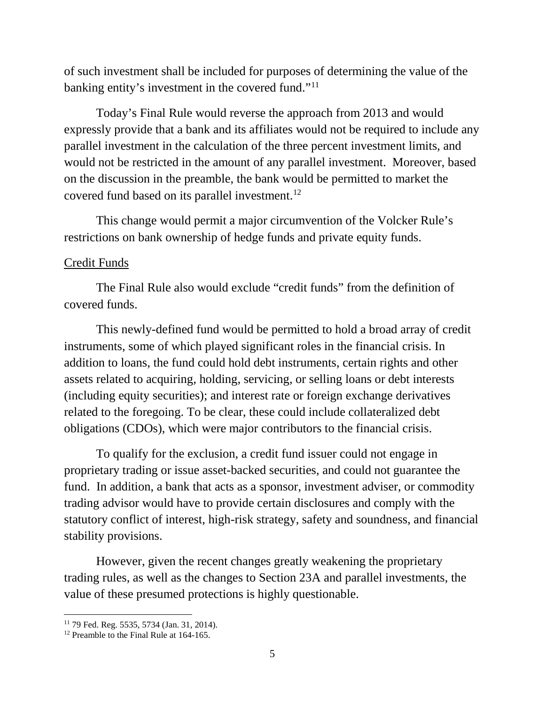of such investment shall be included for purposes of determining the value of the banking entity's investment in the covered fund."[11](#page-4-0)

Today's Final Rule would reverse the approach from 2013 and would expressly provide that a bank and its affiliates would not be required to include any parallel investment in the calculation of the three percent investment limits, and would not be restricted in the amount of any parallel investment. Moreover, based on the discussion in the preamble, the bank would be permitted to market the covered fund based on its parallel investment.[12](#page-4-1)

This change would permit a major circumvention of the Volcker Rule's restrictions on bank ownership of hedge funds and private equity funds.

# Credit Funds

The Final Rule also would exclude "credit funds" from the definition of covered funds.

This newly-defined fund would be permitted to hold a broad array of credit instruments, some of which played significant roles in the financial crisis. In addition to loans, the fund could hold debt instruments, certain rights and other assets related to acquiring, holding, servicing, or selling loans or debt interests (including equity securities); and interest rate or foreign exchange derivatives related to the foregoing. To be clear, these could include collateralized debt obligations (CDOs), which were major contributors to the financial crisis.

To qualify for the exclusion, a credit fund issuer could not engage in proprietary trading or issue asset-backed securities, and could not guarantee the fund. In addition, a bank that acts as a sponsor, investment adviser, or commodity trading advisor would have to provide certain disclosures and comply with the statutory conflict of interest, high-risk strategy, safety and soundness, and financial stability provisions.

However, given the recent changes greatly weakening the proprietary trading rules, as well as the changes to Section 23A and parallel investments, the value of these presumed protections is highly questionable.

<span id="page-4-0"></span> <sup>11</sup> 79 Fed. Reg. 5535, 5734 (Jan. 31, 2014).

<span id="page-4-1"></span><sup>&</sup>lt;sup>12</sup> Preamble to the Final Rule at 164-165.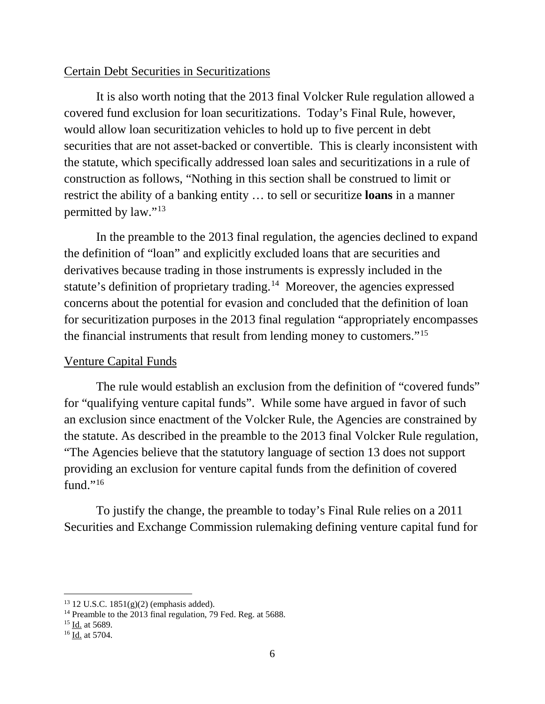## Certain Debt Securities in Securitizations

It is also worth noting that the 2013 final Volcker Rule regulation allowed a covered fund exclusion for loan securitizations. Today's Final Rule, however, would allow loan securitization vehicles to hold up to five percent in debt securities that are not asset-backed or convertible. This is clearly inconsistent with the statute, which specifically addressed loan sales and securitizations in a rule of construction as follows, "Nothing in this section shall be construed to limit or restrict the ability of a banking entity … to sell or securitize **loans** in a manner permitted by law."[13](#page-5-0)

In the preamble to the 2013 final regulation, the agencies declined to expand the definition of "loan" and explicitly excluded loans that are securities and derivatives because trading in those instruments is expressly included in the statute's definition of proprietary trading.<sup>14</sup> Moreover, the agencies expressed concerns about the potential for evasion and concluded that the definition of loan for securitization purposes in the 2013 final regulation "appropriately encompasses the financial instruments that result from lending money to customers."[15](#page-5-2)

# Venture Capital Funds

The rule would establish an exclusion from the definition of "covered funds" for "qualifying venture capital funds". While some have argued in favor of such an exclusion since enactment of the Volcker Rule, the Agencies are constrained by the statute. As described in the preamble to the 2013 final Volcker Rule regulation, "The Agencies believe that the statutory language of section 13 does not support providing an exclusion for venture capital funds from the definition of covered fund." $16$ 

To justify the change, the preamble to today's Final Rule relies on a 2011 Securities and Exchange Commission rulemaking defining venture capital fund for

<span id="page-5-0"></span> $13$  12 U.S.C. 1851(g)(2) (emphasis added).

<span id="page-5-1"></span><sup>&</sup>lt;sup>14</sup> Preamble to the 2013 final regulation, 79 Fed. Reg. at 5688.

<span id="page-5-2"></span><sup>&</sup>lt;sup>15</sup> Id. at 5689.

<span id="page-5-3"></span><sup>16</sup> Id. at 5704.